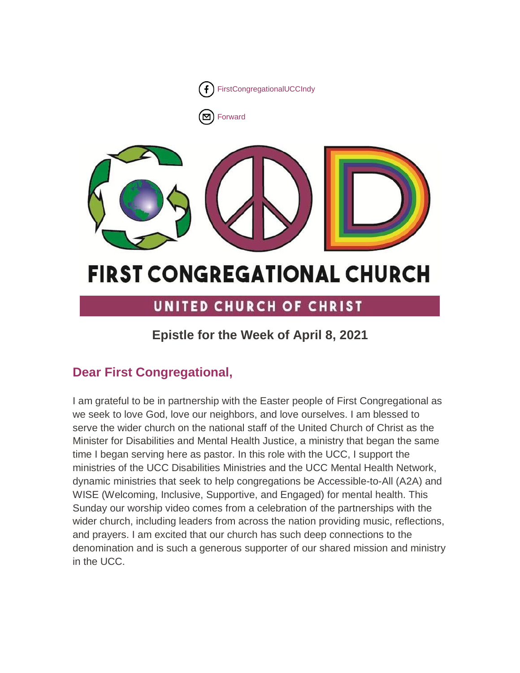

# **FIRST CONGREGATIONAL CHURCH**

# UNITED CHURCH OF CHRIST

# **Epistle for the Week of April 8, 2021**

# **Dear First Congregational,**

I am grateful to be in partnership with the Easter people of First Congregational as we seek to love God, love our neighbors, and love ourselves. I am blessed to serve the wider church on the national staff of the United Church of Christ as the Minister for Disabilities and Mental Health Justice, a ministry that began the same time I began serving here as pastor. In this role with the UCC, I support the ministries of the UCC Disabilities Ministries and the UCC Mental Health Network, dynamic ministries that seek to help congregations be Accessible-to-All (A2A) and WISE (Welcoming, Inclusive, Supportive, and Engaged) for mental health. This Sunday our worship video comes from a celebration of the partnerships with the wider church, including leaders from across the nation providing music, reflections, and prayers. I am excited that our church has such deep connections to the denomination and is such a generous supporter of our shared mission and ministry in the UCC.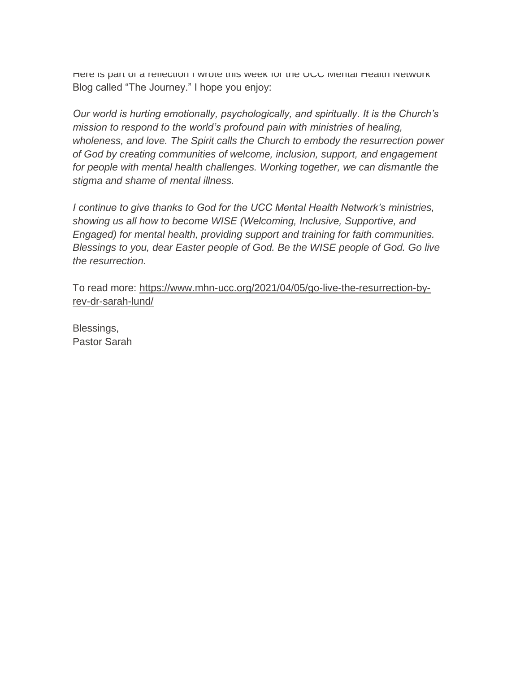Here is part of a reflection I wrote this week for the UCC Mental Health Network Blog called "The Journey." I hope you enjoy:

*Our world is hurting emotionally, psychologically, and spiritually. It is the Church's mission to respond to the world's profound pain with ministries of healing, wholeness, and love. The Spirit calls the Church to embody the resurrection power of God by creating communities of welcome, inclusion, support, and engagement*  for people with mental health challenges. Working together, we can dismantle the *stigma and shame of mental illness.*

*I continue to give thanks to God for the UCC Mental Health Network's ministries, showing us all how to become WISE (Welcoming, Inclusive, Supportive, and Engaged) for mental health, providing support and training for faith communities. Blessings to you, dear Easter people of God. Be the WISE people of God. Go live the resurrection.*

To read more: [https://www.mhn-ucc.org/2021/04/05/go-live-the-resurrection-by](https://www.mhn-ucc.org/2021/04/05/go-live-the-resurrection-by-rev-dr-sarah-lund/)[rev-dr-sarah-lund/](https://www.mhn-ucc.org/2021/04/05/go-live-the-resurrection-by-rev-dr-sarah-lund/)

Blessings, Pastor Sarah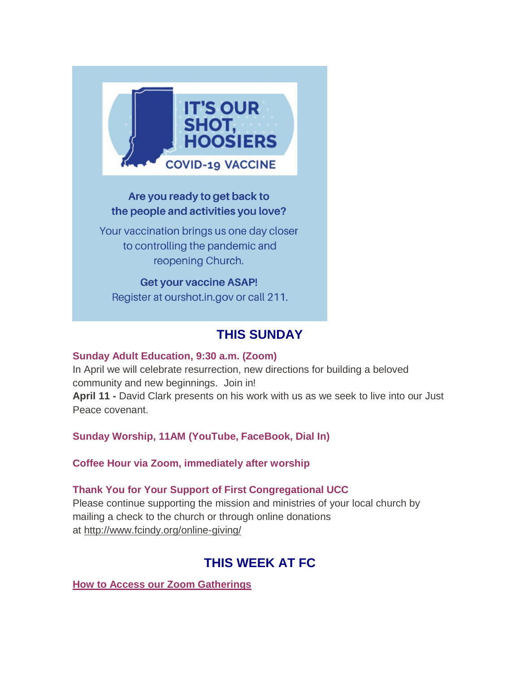

# Are you ready to get back to the people and activities you love?

Your vaccination brings us one day closer to controlling the pandemic and reopening Church.

**Get your vaccine ASAP!** Register at ourshot.in.gov or call 211.

# **THIS SUNDAY**

## **Sunday Adult Education, 9:30 a.m. (Zoom)**

In April we will celebrate resurrection, new directions for building a beloved community and new beginnings. Join in! **April 11 -** David Clark presents on his work with us as we seek to live into our Just Peace covenant.

**Sunday Worship, 11AM (YouTube, FaceBook, Dial In)**

**Coffee Hour via Zoom, immediately after worship**

## **Thank You for Your Support of First Congregational UCC**

Please continue supporting the mission and ministries of your local church by mailing a check to the church or through online donations at <http://www.fcindy.org/online-giving/>

# **THIS WEEK AT FC**

**How to Access our Zoom Gatherings**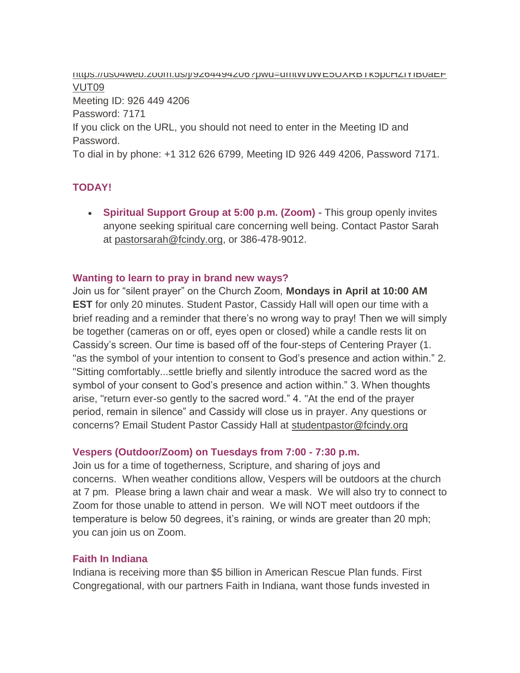[https://us04web.zoom.us/j/9264494206?pwd=dmtWbWE5UXRBTk5pcHZlYlB0aEF](https://us04web.zoom.us/j/9264494206?pwd=dmtWbWE5UXRBTk5pcHZlYlB0aEFVUT09) [VUT09](https://us04web.zoom.us/j/9264494206?pwd=dmtWbWE5UXRBTk5pcHZlYlB0aEFVUT09) Meeting ID: 926 449 4206 Password: 7171 If you click on the URL, you should not need to enter in the Meeting ID and Password. To dial in by phone: +1 312 626 6799, Meeting ID 926 449 4206, Password 7171.

# **TODAY!**

 **Spiritual Support Group at 5:00 p.m. (Zoom) -** This group openly invites anyone seeking spiritual care concerning well being. Contact Pastor Sarah at [pastorsarah@fcindy.org,](mailto:pastorsarah@fcindy.org) or 386-478-9012.

#### **Wanting to learn to pray in brand new ways?**

Join us for "silent prayer" on the Church Zoom, **Mondays in April at 10:00 AM EST** for only 20 minutes. Student Pastor, Cassidy Hall will open our time with a brief reading and a reminder that there's no wrong way to pray! Then we will simply be together (cameras on or off, eyes open or closed) while a candle rests lit on Cassidy's screen. Our time is based off of the four-steps of Centering Prayer (1. "as the symbol of your intention to consent to God's presence and action within." 2. "Sitting comfortably...settle briefly and silently introduce the sacred word as the symbol of your consent to God's presence and action within." 3. When thoughts arise, "return ever-so gently to the sacred word." 4. "At the end of the prayer period, remain in silence" and Cassidy will close us in prayer. Any questions or concerns? Email Student Pastor Cassidy Hall at [studentpastor@fcindy.org](mailto:studentpastor@fcindy.org)

#### **Vespers (Outdoor/Zoom) on Tuesdays from 7:00 - 7:30 p.m.**

Join us for a time of togetherness, Scripture, and sharing of joys and concerns. When weather conditions allow, Vespers will be outdoors at the church at 7 pm. Please bring a lawn chair and wear a mask. We will also try to connect to Zoom for those unable to attend in person. We will NOT meet outdoors if the temperature is below 50 degrees, it's raining, or winds are greater than 20 mph; you can join us on Zoom.

#### **Faith In Indiana**

Indiana is receiving more than \$5 billion in American Rescue Plan funds. First Congregational, with our partners Faith in Indiana, want those funds invested in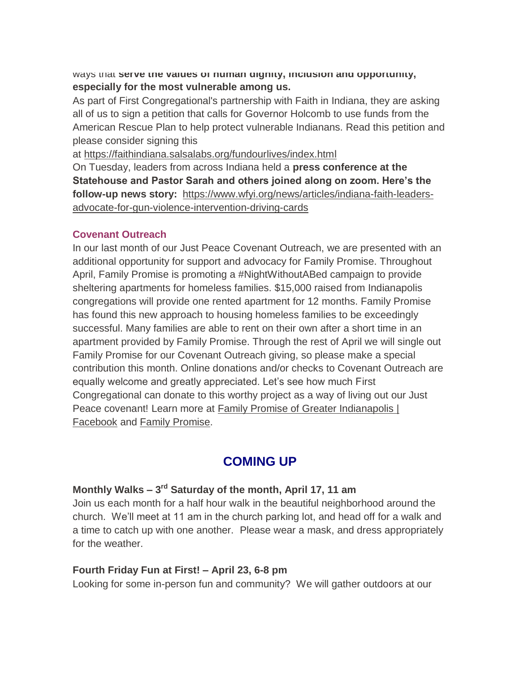ways that **serve the values of human dignity, inclusion and opportunity, especially for the most vulnerable among us.**

As part of First Congregational's partnership with Faith in Indiana, they are asking all of us to sign a petition that calls for Governor Holcomb to use funds from the American Rescue Plan to help protect vulnerable Indianans. Read this petition and please consider signing this

at <https://faithindiana.salsalabs.org/fundourlives/index.html>

On Tuesday, leaders from across Indiana held a **press conference at the Statehouse and Pastor Sarah and others joined along on zoom. Here's the follow-up news story:** [https://www.wfyi.org/news/articles/indiana-faith-leaders](https://www.wfyi.org/news/articles/indiana-faith-leaders-advocate-for-gun-violence-intervention-driving-cards)[advocate-for-gun-violence-intervention-driving-cards](https://www.wfyi.org/news/articles/indiana-faith-leaders-advocate-for-gun-violence-intervention-driving-cards)

#### **Covenant Outreach**

In our last month of our Just Peace Covenant Outreach, we are presented with an additional opportunity for support and advocacy for Family Promise. Throughout April, Family Promise is promoting a #NightWithoutABed campaign to provide sheltering apartments for homeless families. \$15,000 raised from Indianapolis congregations will provide one rented apartment for 12 months. Family Promise has found this new approach to housing homeless families to be exceedingly successful. Many families are able to rent on their own after a short time in an apartment provided by Family Promise. Through the rest of April we will single out Family Promise for our Covenant Outreach giving, so please make a special contribution this month. Online donations and/or checks to Covenant Outreach are equally welcome and greatly appreciated. Let's see how much First Congregational can donate to this worthy project as a way of living out our Just Peace covenant! Learn more at Family Promise of Greater Indianapolis | [Facebook](https://www.facebook.com/familypromiseindy/) and [Family Promise.](https://familypromise.org/)

# **COMING UP**

## **Monthly Walks – 3 rd Saturday of the month, April 17, 11 am**

Join us each month for a half hour walk in the beautiful neighborhood around the church. We'll meet at 11 am in the church parking lot, and head off for a walk and a time to catch up with one another. Please wear a mask, and dress appropriately for the weather.

#### **Fourth Friday Fun at First! – April 23, 6-8 pm**

Looking for some in-person fun and community? We will gather outdoors at our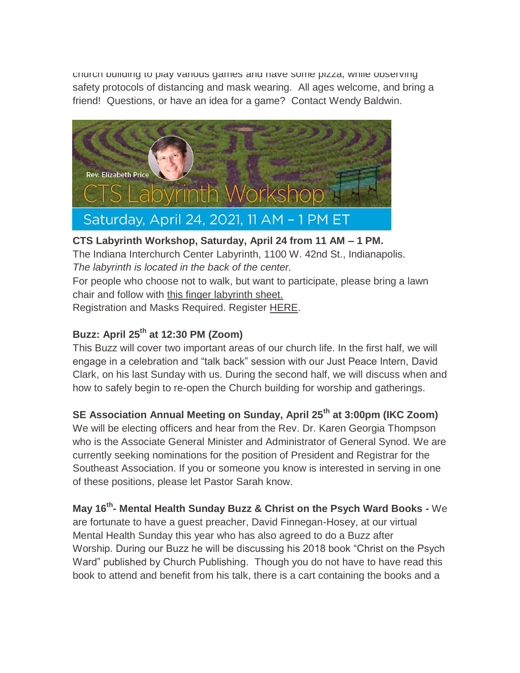church building to play various games and have some pizza, while observing safety protocols of distancing and mask wearing. All ages welcome, and bring a friend! Questions, or have an idea for a game? Contact Wendy Baldwin.



# **CTS Labyrinth Workshop, Saturday, April 24 from 11 AM – 1 PM.**

The Indiana Interchurch Center Labyrinth, 1100 W. 42nd St., Indianapolis. *The labyrinth is located in the back of the center.*

For people who choose not to walk, but want to participate, please bring a lawn chair and follow with [this finger labyrinth sheet.](http://www.cts.edu/wp-content/uploads/2020/08/2021-Labyrinth-Workshop.pdf)

Registration and Masks Required. Register [HERE.](https://www.eventbrite.com/e/labyrinth-workshop-tickets-146644633045)

# **Buzz: April 25th at 12:30 PM (Zoom)**

This Buzz will cover two important areas of our church life. In the first half, we will engage in a celebration and "talk back" session with our Just Peace Intern, David Clark, on his last Sunday with us. During the second half, we will discuss when and how to safely begin to re-open the Church building for worship and gatherings.

# **SE Association Annual Meeting on Sunday, April 25th at 3:00pm (IKC Zoom)**

We will be electing officers and hear from the Rev. Dr. Karen Georgia Thompson who is the Associate General Minister and Administrator of General Synod. We are currently seeking nominations for the position of President and Registrar for the Southeast Association. If you or someone you know is interested in serving in one of these positions, please let Pastor Sarah know.

**May 16th - Mental Health Sunday Buzz & Christ on the Psych Ward Books -** We

are fortunate to have a guest preacher, David Finnegan-Hosey, at our virtual Mental Health Sunday this year who has also agreed to do a Buzz after Worship. During our Buzz he will be discussing his 2018 book "Christ on the Psych Ward" published by Church Publishing. Though you do not have to have read this book to attend and benefit from his talk, there is a cart containing the books and a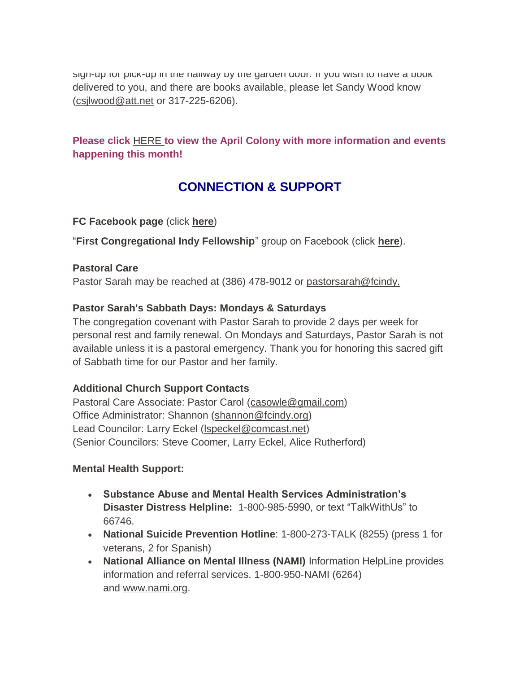sign-up for pick-up in the hallway by the garden door. If you wish to have a book delivered to you, and there are books available, please let Sandy Wood know [\(csjlwood@att.net](mailto:csjlwood@att.net-) or 317-225-6206).

## **Please click** [HERE](https://mcusercontent.com/7a2e4c501545b6d78729a64a1/files/c6bc7fc6-7671-4bb5-9e27-00d25bc95abe/March_Colony_2021.01.pdf) **[t](https://mcusercontent.com/7a2e4c501545b6d78729a64a1/files/c6bc7fc6-7671-4bb5-9e27-00d25bc95abe/March_Colony_2021.01.pdf)o view the April Colony with more information and events happening this month!**

# **CONNECTION & SUPPORT**

#### **FC Facebook page** (click **[here](https://www.facebook.com/FirstCongregationalUCCIndy/)**)

"**First Congregational Indy Fellowship**" group on Facebook (click **[here](https://www.facebook.com/groups/521333455186422/)**).

#### **Pastoral Care**

Pastor Sarah may be reached at (386) 478-9012 or [pastorsarah@fcindy.](mailto:pastorsarah@fcindy.org)

#### **Pastor Sarah's Sabbath Days: Mondays & Saturdays**

The congregation covenant with Pastor Sarah to provide 2 days per week for personal rest and family renewal. On Mondays and Saturdays, Pastor Sarah is not available unless it is a pastoral emergency. Thank you for honoring this sacred gift of Sabbath time for our Pastor and her family.

## **Additional Church Support Contacts**

Pastoral Care Associate: Pastor Carol [\(casowle@gmail.com\)](mailto:casowle@gmail.com) Office Administrator: Shannon [\(shannon@fcindy.org\)](mailto:shannon@fcindy.org) Lead Councilor: Larry Eckel [\(lspeckel@comcast.net\)](mailto:lspeckel@comcast.net) (Senior Councilors: Steve Coomer, Larry Eckel, Alice Rutherford)

#### **Mental Health Support:**

- **Substance Abuse and Mental Health Services Administration's Disaster Distress Helpline:** 1-800-985-5990, or text "TalkWithUs" to 66746.
- **National Suicide Prevention Hotline**: 1-800-273-TALK (8255) (press 1 for veterans, 2 for Spanish)
- **National Alliance on Mental Illness (NAMI)** Information HelpLine provides information and referral services. 1-800-950-NAMI (6264) and [www.nami.org.](http://www.nami.org/)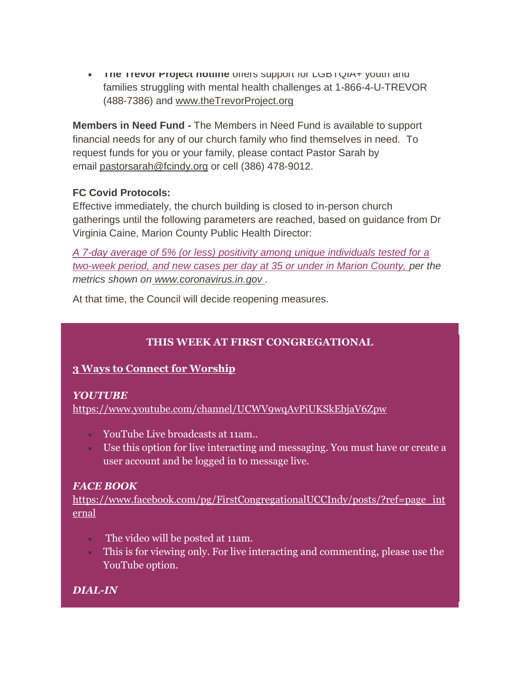**THE TREVOL PROJECT HOTHLE OFFERS SUPPORT FOR LGBTQIA+ youth and** families struggling with mental health challenges at 1-866-4-U-TREVOR (488-7386) and [www.theTrevorProject.org](http://www.thetrevorproject.org/)

**Members in Need Fund -** The Members in Need Fund is available to support financial needs for any of our church family who find themselves in need. To request funds for you or your family, please contact Pastor Sarah by email [pastorsarah@fcindy.org](mailto:pastorsarah@fcindy.org) or cell (386) 478-9012.

#### **FC Covid Protocols:**

Effective immediately, the church building is closed to in-person church gatherings until the following parameters are reached, based on guidance from Dr Virginia Caine, Marion County Public Health Director:

*A 7-day average of 5% (or less) positivity among unique individuals tested for a two-week period, and new cases per day at 35 or under in Marion County, per the metrics shown on [www.coronavirus.in.gov](http://www.coronavirus.in.gov/) .* 

At that time, the Council will decide reopening measures.

## **THIS WEEK AT FIRST CONGREGATIONAL**

## **3 Ways to Connect for Worship**

#### *YOUTUBE*

<https://www.youtube.com/channel/UCWV9wqAvPiUKSkEbjaV6Zpw>

- YouTube Live broadcasts at 11am..
- Use this option for live interacting and messaging. You must have or create a user account and be logged in to message live.

## *FACE BOOK*

[https://www.facebook.com/pg/FirstCongregationalUCCIndy/posts/?ref=page\\_int](https://www.facebook.com/pg/FirstCongregationalUCCIndy/posts/?ref=page_internal) [ernal](https://www.facebook.com/pg/FirstCongregationalUCCIndy/posts/?ref=page_internal)

- The video will be posted at 11am.
- This is for viewing only. For live interacting and commenting, please use the YouTube option.

*DIAL-IN*